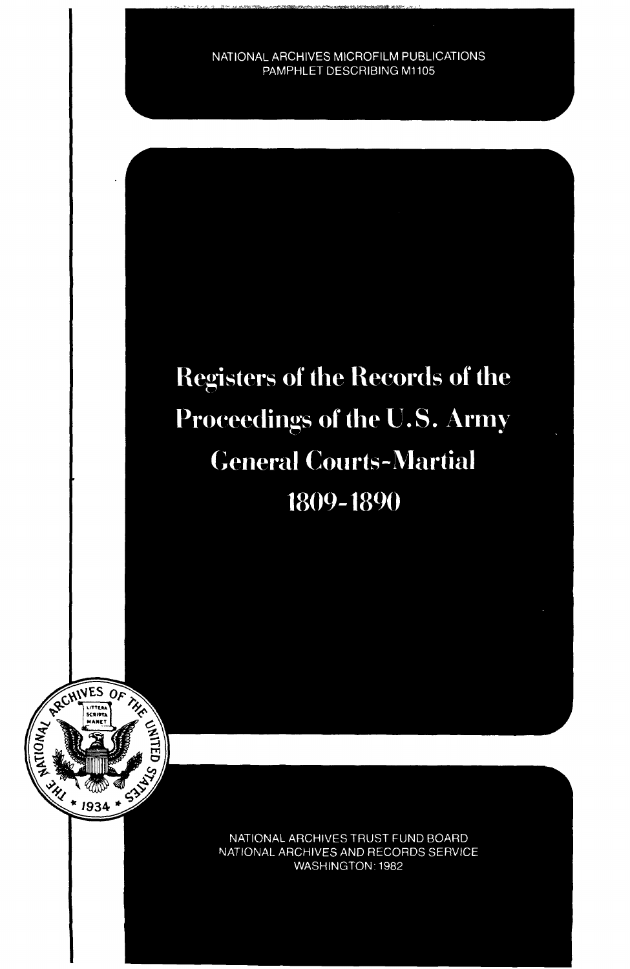NATIONAL ARCHIVES MICROFILM PUBLICATIONS PAMPHLET DESCRIBING M1105

# **Registers of the Records of the** Proceedings of the U.S. Army **General Courts-Martial** 1809-1890



NATIONAL ARCHIVES TRUST FUND BOARD NATIONAL ARCHIVES AND RECORDS SERVICE WASHINGTON: 1982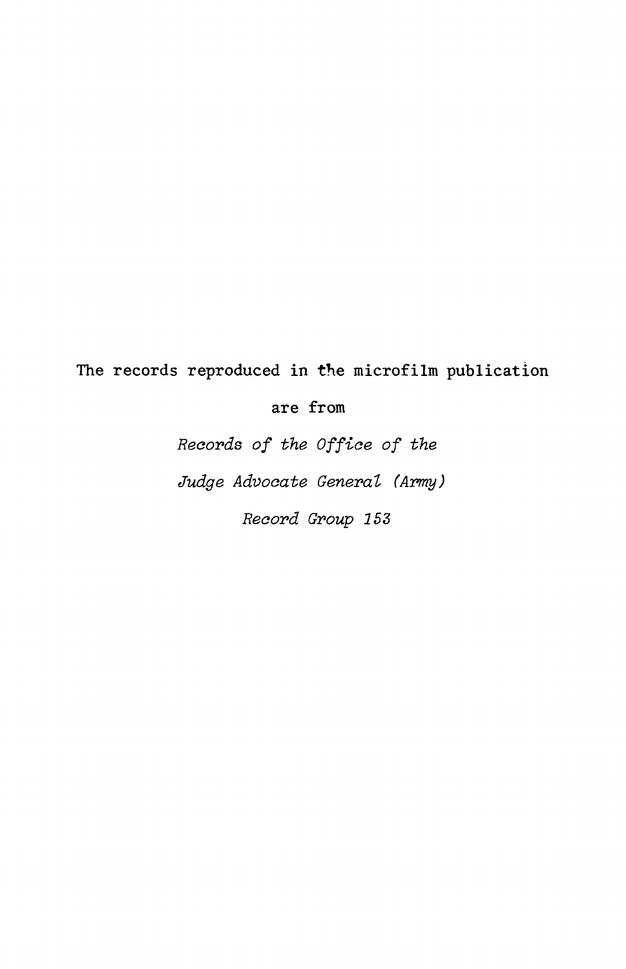## **The records reproduced in the microfilm publication**

**are from**

Records of the Office of the Judge Advocate General (Army)

Record Group 153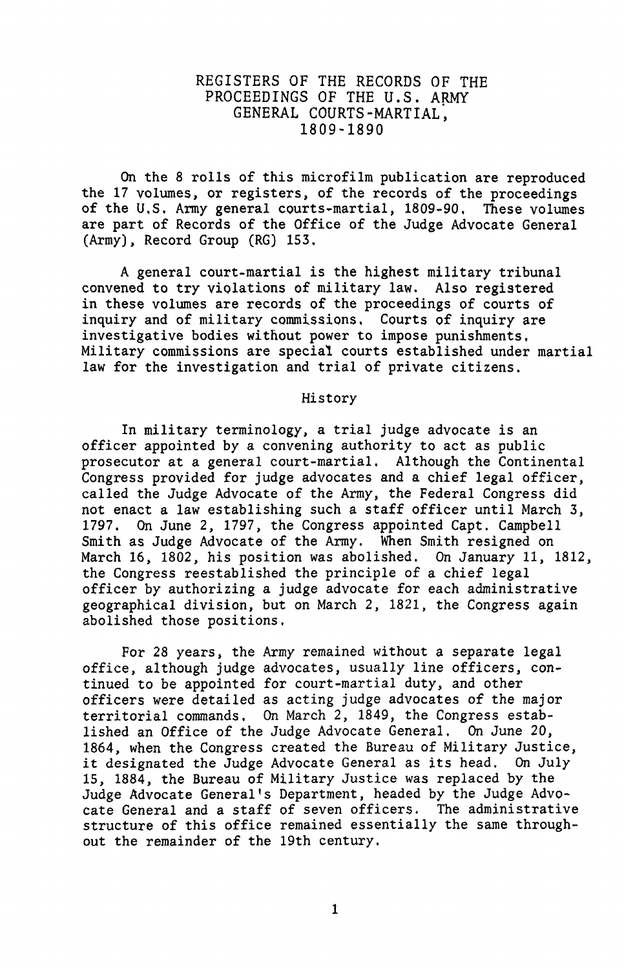#### REGISTERS OF THE RECORDS OF THE PROCEEDINGS OF THE U.S. ARMY GENERAL COURTS-MARTIAL', 1809-1890

On the 8 rolls of this microfilm publication are reproduced the 17 volumes, or registers, of the records of the proceedings of the U,S, Army general courts-martial, 1809-90, These volumes are part of Records of the Office of the Judge Advocate General (Army), Record Group (RG) 153.

A general court-martial is the highest military tribunal convened to try violations of military law. Also registered in these volumes are records of the proceedings of courts of inquiry and of military commissions. Courts of inquiry are investigative bodies without power to impose punishments, Military commissions are special courts established under martial law for the investigation and trial of private citizens.

#### History

In military terminology, a trial judge advocate is an officer appointed by a convening authority to act as public prosecutor at a general court-martial. Although the Continental Congress provided for judge advocates and a. chief legal officer, called the Judge Advocate of the Army, the Federal Congress did not enact a law establishing such a staff officer until March 3, 1797. On June 2, 1797, the Congress appointed Capt, Campbell Smith as Judge Advocate of the Army. When Smith resigned on March 16, 1802, his position was abolished. On January 11, 1812, the Congress reestablished the principle of a chief legal officer by authorizing a judge advocate for each administrative geographical division, but on March 2, 1821, the Congress again abolished those positions,

For 28 years, the Army remained without a separate legal office, although judge advocates, usually line officers, continued to be appointed for court-martial duty, and other officers were detailed as acting judge advocates of the major territorial commands. On March 2, 1849, the Congress established an Office of the Judge Advocate General. On June 20, 1864, when the Congress created the Bureau of Military Justice,<br>it designated the Judge Advocate General as its head. On July it designated the Judge Advocate General as its head. 15, 1884, the Bureau of Military Justice was replaced by the Judge Advocate General's Department, headed by the Judge Advocate General and a staff of seven officers. The administrative structure of this office remained essentially the same throughout the remainder of the 19th century.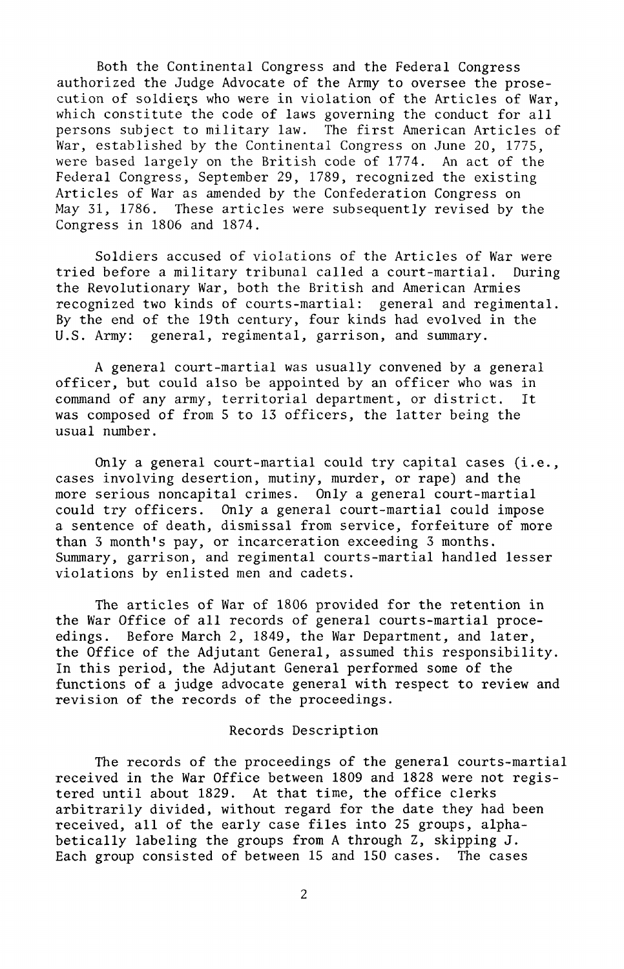Both the Continental Congress and the Federal Congress authorized the Judge Advocate of the Army to oversee the prosecution of soldiers who were in violation of the Articles of War, which constitute the code of laws governing the conduct for all persons subject to military law. The first American Articles of War, established by the Continental Congress on June 20, 1775, were based largely on the British code of 1774. An act of the Federal Congress, September 29, 1789, recognized the existing Articles of War as amended by the Confederation Congress on<br>May 31, 1786. These articles were subsequently revised by 1 These articles were subsequently revised by the Congress in 1806 and 1874.

Soldiers accused of violations of the Articles of War were tried before a military tribunal called a court-martial. During the Revolutionary War, both the British and American Armies recognized two kinds of courts-martial: general and regimental. By the end of the 19th century, four kinds had evolved in the U.S. Army: general, regimental, garrison, and summary.

A general court-martial was usually convened by a general officer, but could also be appointed by an officer who was in command of any army, territorial department, or district. It was composed of from 5 to 13 officers, the latter being the usual number.

Only a general court-martial could try capital cases (i.e., cases involving desertion, mutiny, murder, or rape) and the more serious noncapital crimes. Only a general court-martial could try officers. Only a general court-martial could impose a sentence of death, dismissal from service, forfeiture of more than 3 month's pay, or incarceration exceeding 3 months. Summary, garrison, and regimental courts-martial handled lesser violations by enlisted men and cadets.

The articles of War of 1806 provided for the retention in the War Office of all records of general courts-martial proceedings. Before March 2, 1849, the War Department, and later, the Office of the Adjutant General, assumed this responsibility. In this period, the Adjutant General performed some of the functions of a judge advocate general with respect to review and revision of the records of the proceedings.

#### Records Description

The records of the proceedings of the general courts-martial received in the War Office between 1809 and 1828 were not registered until about 1829. At that time, the office clerks arbitrarily divided, without regard for the date they had been received, all of the early case files into 25 groups, alphabetically labeling the groups from A through Z, skipping J. Each group consisted of between 15 and 150 cases. The cases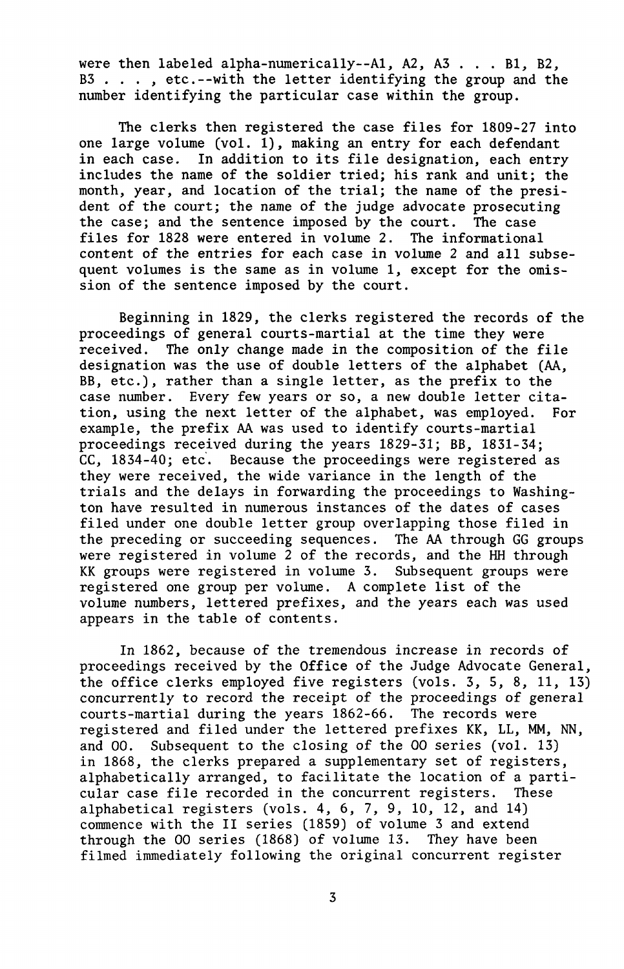were then labeled alpha-numerically--A1, A2, A3 . . . B1, B2, B3 . . . , etc.--with the letter identifying the group and the number identifying the particular case within the group.

The clerks then registered the case files for 1809-27 into one large volume (vol.  $1$ ), making an entry for each defendant in each case. In addition to its file designation, each entry includes the name of the soldier tried; his rank and unit; the month, year, and location of the trial; the name of the president of the court; the name of the judge advocate prosecuting the case; and the sentence imposed by the court. The case files for 1828 were entered in volume 2. The informational content of the entries for each case in volume 2 and all subsequent volumes is the same as in volume 1, except for the omission of the sentence imposed by the court.

Beginning in 1829, the clerks registered the records of the proceedings of general courts-martial at the time they were received. The only change made in the composition of the file designation was the use of double letters of the alphabet (AA, BB, etc.), rather than a single letter, as the prefix to the case number. Every few years or so, a new double letter citation, using the next letter of the alphabet, was employed. For example, the prefix AA was used to identify courts-martial proceedings received during the years 1829-31; BB, 1831-34; CC, 1834-40; etc. Because the proceedings were registered as they were received, the wide variance in the length of the trials and the delays in forwarding the proceedings to Washington have resulted in numerous instances of the dates of cases filed under one double letter group overlapping those filed in the preceding or succeeding sequences. The AA through GG groups were registered in volume 2 of the records, and the HH through KK groups were registered in volume 3. Subsequent groups were registered one group per volume. A complete list of the volume numbers, lettered prefixes, and the years each was used appears in the table of contents.

In 1862, because of the tremendous increase in records of proceedings received by the Office of the Judge Advocate General, the office clerks employed five registers (vols. 3, 5, 8, 11, 13) concurrently to record the receipt of the proceedings of general courts-martial during the years 1862-66. The records were registered and filed under the lettered prefixes KK, LL, MM, NN, and 00. Subsequent to the closing of the 00 series (vol. 13) in 1868, the clerks prepared a supplementary set of registers, alphabetically arranged, to facilitate the location of a particular case file recorded in the concurrent registers. These alphabetical registers (vols. 4, 6, 7, 9, 10, 12, and 14) commence with the II series (1859) of volume 3 and extend through the 00 series (1868) of volume 13. They have been filmed immediately following the original concurrent register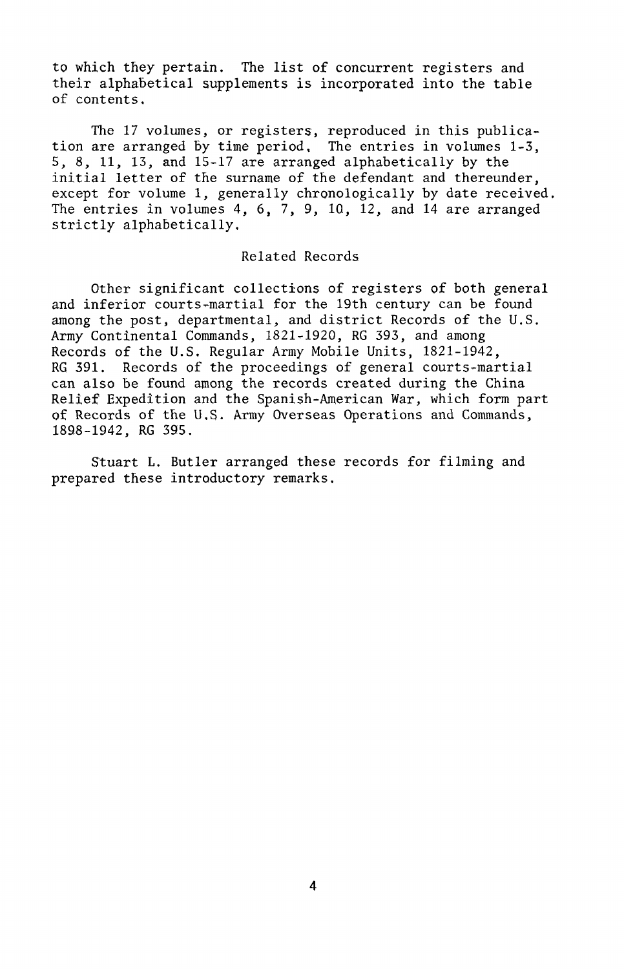to which they pertain. The list of concurrent registers and their alphabetical supplements is incorporated into the table of contents.

The 17 volumes, or registers, reproduced in this publication are arranged by time period. The entries in volumes 1-3, 5, 8, 11, 13, and 15-17 are arranged alphabetically by the initial letter of the surname of the defendant and thereunder, except for volume 1, generally chronologically by date received, The entries in volumes 4, 6, 7, 9, 10, 12, and 14 are arranged strictly alphabetically.

#### Related Records

Other significant collections of registers of both general and inferior courts-martial for the 19th century can be found among the post, departmental, and district Records of the U.S. Army Continental Commands, 1821-1920, RG 393, and among Records of the U.S. Regular Army Mobile Units, 1821-1942, RG 391. Records of the proceedings of general courts-martial can also be found among the records created during the China Relief Expedition and the Spanish-American War, which form part of Records of the U.S. Army Overseas Operations and Commands, 1898-1942, RG 395.

Stuart L. Butler arranged these records for filming and prepared these introductory remarks.